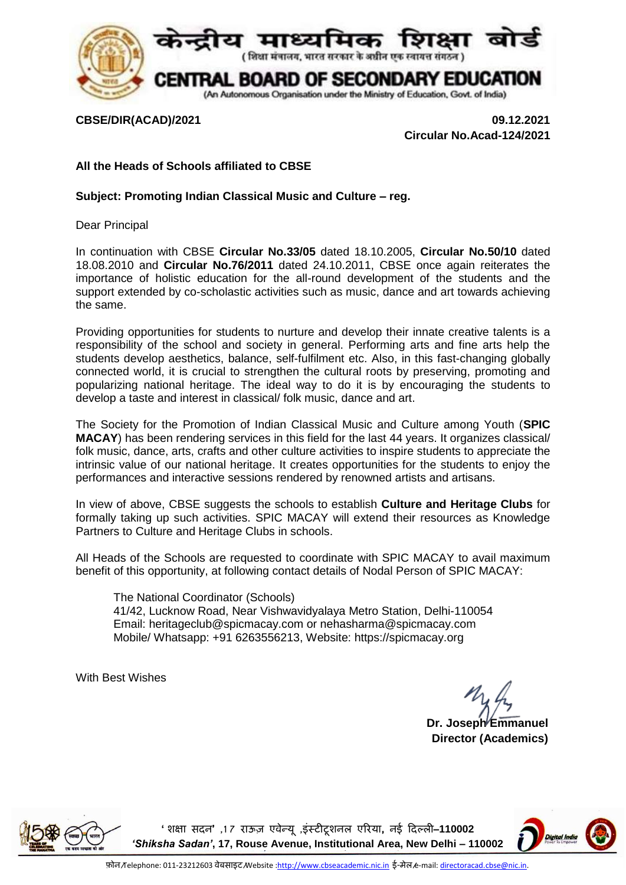

**CBSE/DIR(ACAD)/2021 09.12.2021 Circular No.Acad-124/2021**

## **All the Heads of Schools affiliated to CBSE**

## **Subject: Promoting Indian Classical Music and Culture – reg.**

Dear Principal

In continuation with CBSE **Circular No.33/05** dated 18.10.2005, **Circular No.50/10** dated 18.08.2010 and **Circular No.76/2011** dated 24.10.2011, CBSE once again reiterates the importance of holistic education for the all-round development of the students and the support extended by co-scholastic activities such as music, dance and art towards achieving the same.

Providing opportunities for students to nurture and develop their innate creative talents is a responsibility of the school and society in general. Performing arts and fine arts help the students develop aesthetics, balance, self-fulfilment etc. Also, in this fast-changing globally connected world, it is crucial to strengthen the cultural roots by preserving, promoting and popularizing national heritage. The ideal way to do it is by encouraging the students to develop a taste and interest in classical/ folk music, dance and art.

The Society for the Promotion of Indian Classical Music and Culture among Youth (**SPIC MACAY**) has been rendering services in this field for the last 44 years. It organizes classical/ folk music, dance, arts, crafts and other culture activities to inspire students to appreciate the intrinsic value of our national heritage. It creates opportunities for the students to enjoy the performances and interactive sessions rendered by renowned artists and artisans.

In view of above, CBSE suggests the schools to establish **Culture and Heritage Clubs** for formally taking up such activities. SPIC MACAY will extend their resources as Knowledge Partners to Culture and Heritage Clubs in schools.

All Heads of the Schools are requested to coordinate with SPIC MACAY to avail maximum benefit of this opportunity, at following contact details of Nodal Person of SPIC MACAY:

The National Coordinator (Schools) 41/42, Lucknow Road, Near Vishwavidyalaya Metro Station, Delhi-110054 Email: [heritageclub@spicmacay.com](mailto:heritageclub@spicmacay.com) or [nehasharma@spicmacay.com](mailto:nehasharma@spicmacay.com) Mobile/ Whatsapp: +91 6263556213, Website: [https://spicmacay.org](https://spicmacay.org/)

With Best Wishes

**Dr. Joseph Emmanuel Director (Academics)**



**'शिक्षा सदन' ,7 1 राऊज़ एवेन्यू ,इंस्टीटूिनल एररया, नई ददल्ली**–**110002**  *'Shiksha Sadan'***, 17, Rouse Avenue, Institutional Area, New Delhi – 110002**